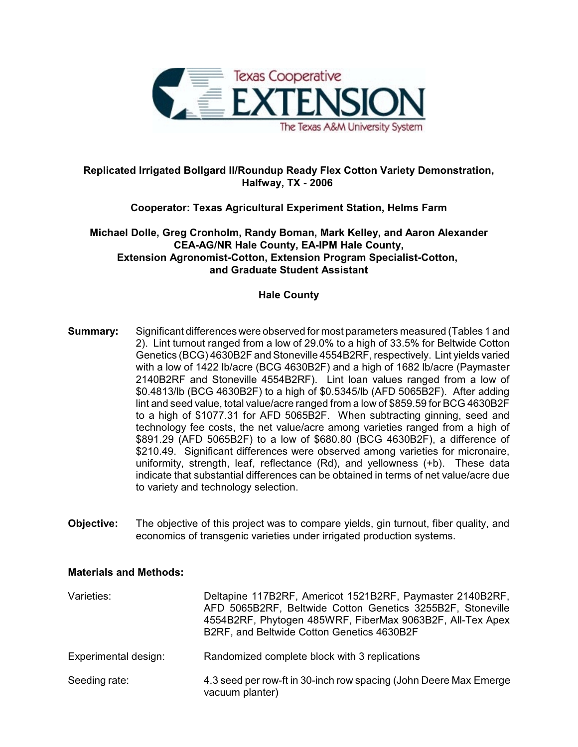

# **Replicated Irrigated Bollgard II/Roundup Ready Flex Cotton Variety Demonstration, Halfway, TX - 2006**

# **Cooperator: Texas Agricultural Experiment Station, Helms Farm**

**Michael Dolle, Greg Cronholm, Randy Boman, Mark Kelley, and Aaron Alexander CEA-AG/NR Hale County, EA-IPM Hale County, Extension Agronomist-Cotton, Extension Program Specialist-Cotton, and Graduate Student Assistant**

## **Hale County**

- **Summary:** Significant differences were observed for most parameters measured (Tables 1 and 2). Lint turnout ranged from a low of 29.0% to a high of 33.5% for Beltwide Cotton Genetics (BCG) 4630B2F and Stoneville 4554B2RF, respectively. Lint yields varied with a low of 1422 lb/acre (BCG 4630B2F) and a high of 1682 lb/acre (Paymaster 2140B2RF and Stoneville 4554B2RF). Lint loan values ranged from a low of \$0.4813/lb (BCG 4630B2F) to a high of \$0.5345/lb (AFD 5065B2F). After adding lint and seed value, total value/acre ranged from a low of \$859.59 for BCG 4630B2F to a high of \$1077.31 for AFD 5065B2F. When subtracting ginning, seed and technology fee costs, the net value/acre among varieties ranged from a high of \$891.29 (AFD 5065B2F) to a low of \$680.80 (BCG 4630B2F), a difference of \$210.49. Significant differences were observed among varieties for micronaire, uniformity, strength, leaf, reflectance (Rd), and yellowness (+b). These data indicate that substantial differences can be obtained in terms of net value/acre due to variety and technology selection.
- **Objective:** The objective of this project was to compare yields, gin turnout, fiber quality, and economics of transgenic varieties under irrigated production systems.

## **Materials and Methods:**

| Varieties:           | Deltapine 117B2RF, Americot 1521B2RF, Paymaster 2140B2RF,<br>AFD 5065B2RF, Beltwide Cotton Genetics 3255B2F, Stoneville<br>4554B2RF, Phytogen 485WRF, FiberMax 9063B2F, All-Tex Apex<br>B2RF, and Beltwide Cotton Genetics 4630B2F |
|----------------------|------------------------------------------------------------------------------------------------------------------------------------------------------------------------------------------------------------------------------------|
| Experimental design: | Randomized complete block with 3 replications                                                                                                                                                                                      |
| Seeding rate:        | 4.3 seed per row-ft in 30-inch row spacing (John Deere Max Emerge<br>vacuum planter)                                                                                                                                               |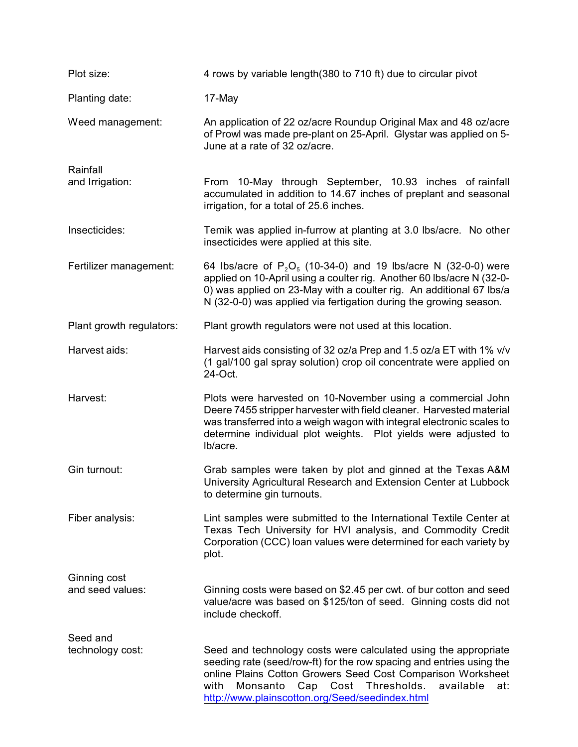| Plot size:                       | 4 rows by variable length (380 to 710 ft) due to circular pivot                                                                                                                                                                                                                                                                 |
|----------------------------------|---------------------------------------------------------------------------------------------------------------------------------------------------------------------------------------------------------------------------------------------------------------------------------------------------------------------------------|
| Planting date:                   | 17-May                                                                                                                                                                                                                                                                                                                          |
| Weed management:                 | An application of 22 oz/acre Roundup Original Max and 48 oz/acre<br>of Prowl was made pre-plant on 25-April. Glystar was applied on 5-<br>June at a rate of 32 oz/acre.                                                                                                                                                         |
| Rainfall                         |                                                                                                                                                                                                                                                                                                                                 |
| and Irrigation:                  | From 10-May through September, 10.93 inches of rainfall<br>accumulated in addition to 14.67 inches of preplant and seasonal<br>irrigation, for a total of 25.6 inches.                                                                                                                                                          |
| Insecticides:                    | Temik was applied in-furrow at planting at 3.0 lbs/acre. No other<br>insecticides were applied at this site.                                                                                                                                                                                                                    |
| Fertilizer management:           | 64 lbs/acre of $P_2O_5$ (10-34-0) and 19 lbs/acre N (32-0-0) were<br>applied on 10-April using a coulter rig. Another 60 lbs/acre N (32-0-<br>0) was applied on 23-May with a coulter rig. An additional 67 lbs/a<br>N (32-0-0) was applied via fertigation during the growing season.                                          |
| Plant growth regulators:         | Plant growth regulators were not used at this location.                                                                                                                                                                                                                                                                         |
| Harvest aids:                    | Harvest aids consisting of 32 oz/a Prep and 1.5 oz/a ET with 1% v/v<br>(1 gal/100 gal spray solution) crop oil concentrate were applied on<br>24-Oct.                                                                                                                                                                           |
| Harvest:                         | Plots were harvested on 10-November using a commercial John<br>Deere 7455 stripper harvester with field cleaner. Harvested material<br>was transferred into a weigh wagon with integral electronic scales to<br>determine individual plot weights. Plot yields were adjusted to<br>lb/acre.                                     |
| Gin turnout:                     | Grab samples were taken by plot and ginned at the Texas A&M<br>University Agricultural Research and Extension Center at Lubbock<br>to determine gin turnouts.                                                                                                                                                                   |
| Fiber analysis:                  | Lint samples were submitted to the International Textile Center at<br>Texas Tech University for HVI analysis, and Commodity Credit<br>Corporation (CCC) loan values were determined for each variety by<br>plot.                                                                                                                |
| Ginning cost<br>and seed values: | Ginning costs were based on \$2.45 per cwt. of bur cotton and seed<br>value/acre was based on \$125/ton of seed. Ginning costs did not<br>include checkoff.                                                                                                                                                                     |
| Seed and<br>technology cost:     | Seed and technology costs were calculated using the appropriate<br>seeding rate (seed/row-ft) for the row spacing and entries using the<br>online Plains Cotton Growers Seed Cost Comparison Worksheet<br>Thresholds.<br>with<br>Monsanto<br>Cap<br>Cost<br>available<br>at:<br>http://www.plainscotton.org/Seed/seedindex.html |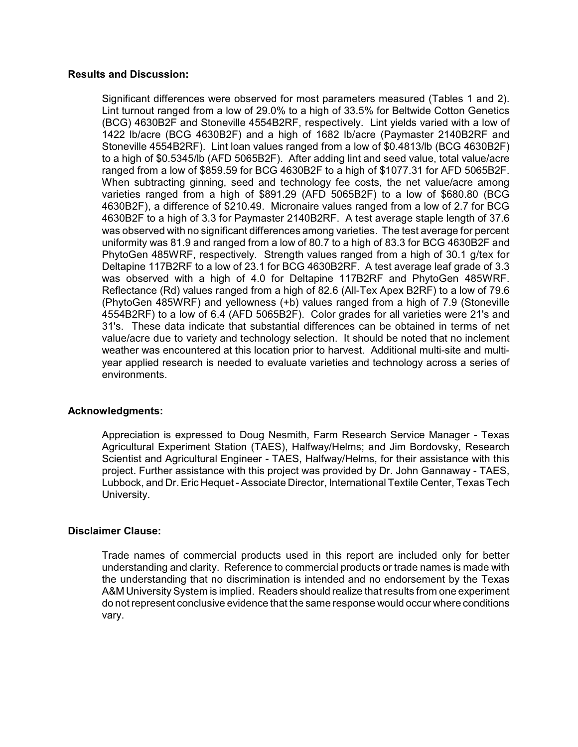#### **Results and Discussion:**

Significant differences were observed for most parameters measured (Tables 1 and 2). Lint turnout ranged from a low of 29.0% to a high of 33.5% for Beltwide Cotton Genetics (BCG) 4630B2F and Stoneville 4554B2RF, respectively. Lint yields varied with a low of 1422 lb/acre (BCG 4630B2F) and a high of 1682 lb/acre (Paymaster 2140B2RF and Stoneville 4554B2RF). Lint loan values ranged from a low of \$0.4813/lb (BCG 4630B2F) to a high of \$0.5345/lb (AFD 5065B2F). After adding lint and seed value, total value/acre ranged from a low of \$859.59 for BCG 4630B2F to a high of \$1077.31 for AFD 5065B2F. When subtracting ginning, seed and technology fee costs, the net value/acre among varieties ranged from a high of \$891.29 (AFD 5065B2F) to a low of \$680.80 (BCG 4630B2F), a difference of \$210.49. Micronaire values ranged from a low of 2.7 for BCG 4630B2F to a high of 3.3 for Paymaster 2140B2RF. A test average staple length of 37.6 was observed with no significant differences among varieties. The test average for percent uniformity was 81.9 and ranged from a low of 80.7 to a high of 83.3 for BCG 4630B2F and PhytoGen 485WRF, respectively. Strength values ranged from a high of 30.1 g/tex for Deltapine 117B2RF to a low of 23.1 for BCG 4630B2RF. A test average leaf grade of 3.3 was observed with a high of 4.0 for Deltapine 117B2RF and PhytoGen 485WRF. Reflectance (Rd) values ranged from a high of 82.6 (All-Tex Apex B2RF) to a low of 79.6 (PhytoGen 485WRF) and yellowness (+b) values ranged from a high of 7.9 (Stoneville 4554B2RF) to a low of 6.4 (AFD 5065B2F). Color grades for all varieties were 21's and 31's. These data indicate that substantial differences can be obtained in terms of net value/acre due to variety and technology selection. It should be noted that no inclement weather was encountered at this location prior to harvest. Additional multi-site and multiyear applied research is needed to evaluate varieties and technology across a series of environments.

### **Acknowledgments:**

Appreciation is expressed to Doug Nesmith, Farm Research Service Manager - Texas Agricultural Experiment Station (TAES), Halfway/Helms; and Jim Bordovsky, Research Scientist and Agricultural Engineer - TAES, Halfway/Helms, for their assistance with this project. Further assistance with this project was provided by Dr. John Gannaway - TAES, Lubbock, and Dr. Eric Hequet - Associate Director, International Textile Center, Texas Tech University.

### **Disclaimer Clause:**

Trade names of commercial products used in this report are included only for better understanding and clarity. Reference to commercial products or trade names is made with the understanding that no discrimination is intended and no endorsement by the Texas A&M University System is implied. Readers should realize that results from one experiment do not represent conclusive evidence that the same response would occur where conditions vary.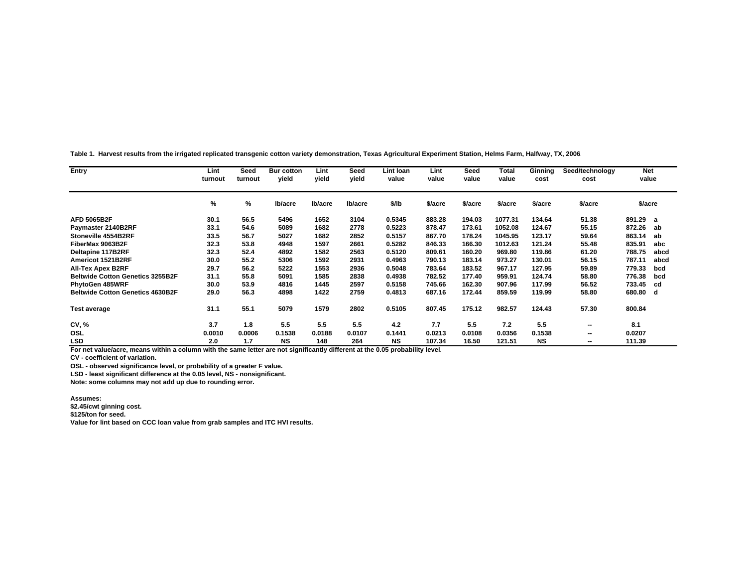**Table 1. Harvest results from the irrigated replicated transgenic cotton variety demonstration, Texas Agricultural Experiment Station, Helms Farm, Halfway, TX, 2006.**

| Entry                                   | Lint<br>turnout | Seed<br>turnout | <b>Bur cotton</b><br>yield | Lint<br>vield | Seed<br>vield | Lint Ioan<br>value | Lint<br>value | Seed<br>value | <b>Total</b><br>value | Ginning<br>cost | Seed/technology<br>cost | <b>Net</b><br>value |      |
|-----------------------------------------|-----------------|-----------------|----------------------------|---------------|---------------|--------------------|---------------|---------------|-----------------------|-----------------|-------------------------|---------------------|------|
|                                         | %               | %               | Ib/acre                    | Ib/acre       | lb/acre       | \$/lb              | \$/acre       | \$/acre       | \$/acre               | \$/acre         | \$/acre                 | \$/acre             |      |
| <b>AFD 5065B2F</b>                      | 30.1            | 56.5            | 5496                       | 1652          | 3104          | 0.5345             | 883.28        | 194.03        | 1077.31               | 134.64          | 51.38                   | 891.29              | a    |
| Paymaster 2140B2RF                      | 33.1            | 54.6            | 5089                       | 1682          | 2778          | 0.5223             | 878.47        | 173.61        | 1052.08               | 124.67          | 55.15                   | 872.26              | ab   |
| Stoneville 4554B2RF                     | 33.5            | 56.7            | 5027                       | 1682          | 2852          | 0.5157             | 867.70        | 178.24        | 1045.95               | 123.17          | 59.64                   | 863.14              | ab   |
| FiberMax 9063B2F                        | 32.3            | 53.8            | 4948                       | 1597          | 2661          | 0.5282             | 846.33        | 166.30        | 1012.63               | 121.24          | 55.48                   | 835.91              | abc  |
| Deltapine 117B2RF                       | 32.3            | 52.4            | 4892                       | 1582          | 2563          | 0.5120             | 809.61        | 160.20        | 969.80                | 119.86          | 61.20                   | 788.75              | abcd |
| Americot 1521B2RF                       | 30.0            | 55.2            | 5306                       | 1592          | 2931          | 0.4963             | 790.13        | 183.14        | 973.27                | 130.01          | 56.15                   | 787.11              | abcd |
| <b>All-Tex Apex B2RF</b>                | 29.7            | 56.2            | 5222                       | 1553          | 2936          | 0.5048             | 783.64        | 183.52        | 967.17                | 127.95          | 59.89                   | 779.33              | bcd  |
| <b>Beltwide Cotton Genetics 3255B2F</b> | 31.1            | 55.8            | 5091                       | 1585          | 2838          | 0.4938             | 782.52        | 177.40        | 959.91                | 124.74          | 58.80                   | 776.38              | bcd  |
| PhytoGen 485WRF                         | 30.0            | 53.9            | 4816                       | 1445          | 2597          | 0.5158             | 745.66        | 162.30        | 907.96                | 117.99          | 56.52                   | 733.45              | cd   |
| <b>Beltwide Cotton Genetics 4630B2F</b> | 29.0            | 56.3            | 4898                       | 1422          | 2759          | 0.4813             | 687.16        | 172.44        | 859.59                | 119.99          | 58.80                   | 680.80 d            |      |
| <b>Test average</b>                     | 31.1            | 55.1            | 5079                       | 1579          | 2802          | 0.5105             | 807.45        | 175.12        | 982.57                | 124.43          | 57.30                   | 800.84              |      |
| CV, %                                   | 3.7             | 1.8             | 5.5                        | 5.5           | 5.5           | 4.2                | 7.7           | 5.5           | 7.2                   | 5.5             | --                      | 8.1                 |      |
| OSL                                     | 0.0010          | 0.0006          | 0.1538                     | 0.0188        | 0.0107        | 0.1441             | 0.0213        | 0.0108        | 0.0356                | 0.1538          |                         | 0.0207              |      |
| <b>LSD</b>                              | 2.0             | 1.7             | <b>NS</b>                  | 148           | 264           | <b>NS</b>          | 107.34        | 16.50         | 121.51                | <b>NS</b>       | $\qquad \qquad$         | 111.39              |      |

**For net value/acre, means within a column with the same letter are not significantly different at the 0.05 probability level.**

**CV - coefficient of variation.**

**OSL - observed significance level, or probability of a greater F value.**

**LSD - least significant difference at the 0.05 level, NS - nonsignificant.** 

**Note: some columns may not add up due to rounding error.**

#### **Assumes:**

**\$2.45/cwt ginning cost.**

**\$125/ton for seed.**

**Value for lint based on CCC loan value from grab samples and ITC HVI results.**